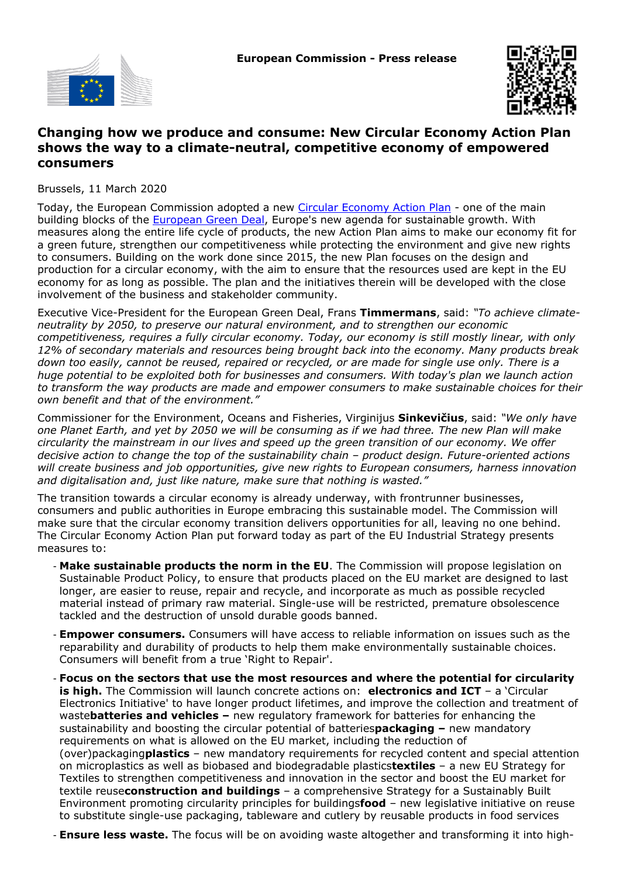



## **Changing how we produce and consume: New Circular Economy Action Plan shows the way to a climate-neutral, competitive economy of empowered consumers**

Brussels, 11 March 2020

Today, the European Commission adopted a new [Circular Economy Action Plan](https://ec.europa.eu/environment/circular-economy/pdf/new_circular_economy_action_plan.pdf) - one of the main building blocks of the **European Green Deal**, Europe's new agenda for sustainable growth. With measures along the entire life cycle of products, the new Action Plan aims to make our economy fit for a green future, strengthen our competitiveness while protecting the environment and give new rights to consumers. Building on the work done since 2015, the new Plan focuses on the design and production for a circular economy, with the aim to ensure that the resources used are kept in the EU economy for as long as possible. The plan and the initiatives therein will be developed with the close involvement of the business and stakeholder community.

Executive Vice-President for the European Green Deal, Frans **Timmermans**, said: *"To achieve climateneutrality by 2050, to preserve our natural environment, and to strengthen our economic competitiveness, requires a fully circular economy. Today, our economy is still mostly linear, with only 12% of secondary materials and resources being brought back into the economy. Many products break down too easily, cannot be reused, repaired or recycled, or are made for single use only. There is a huge potential to be exploited both for businesses and consumers. With today's plan we launch action to transform the way products are made and empower consumers to make sustainable choices for their own benefit and that of the environment."*

Commissioner for the Environment, Oceans and Fisheries, Virginijus **Sinkevičius**, said: *"We only have one Planet Earth, and yet by 2050 we will be consuming as if we had three. The new Plan will make circularity the mainstream in our lives and speed up the green transition of our economy. We offer decisive action to change the top of the sustainability chain – product design. Future-oriented actions will create business and job opportunities, give new rights to European consumers, harness innovation and digitalisation and, just like nature, make sure that nothing is wasted."*

The transition towards a circular economy is already underway, with frontrunner businesses, consumers and public authorities in Europe embracing this sustainable model. The Commission will make sure that the circular economy transition delivers opportunities for all, leaving no one behind. The Circular Economy Action Plan put forward today as part of the EU Industrial Strategy presents measures to:

- **Make sustainable products the norm in the EU**. The Commission will propose legislation on Sustainable Product Policy, to ensure that products placed on the EU market are designed to last longer, are easier to reuse, repair and recycle, and incorporate as much as possible recycled material instead of primary raw material. Single-use will be restricted, premature obsolescence tackled and the destruction of unsold durable goods banned.
- **Empower consumers.** Consumers will have access to reliable information on issues such as the reparability and durability of products to help them make environmentally sustainable choices. Consumers will benefit from a true 'Right to Repair'.
- **Focus on the sectors that use the most resources and where the potential for circularity is high.** The Commission will launch concrete actions on: **electronics and ICT** – a 'Circular Electronics Initiative' to have longer product lifetimes, and improve the collection and treatment of waste**batteries and vehicles –** new regulatory framework for batteries for enhancing the sustainability and boosting the circular potential of batteries**packaging –** new mandatory requirements on what is allowed on the EU market, including the reduction of (over)packaging**plastics** – new mandatory requirements for recycled content and special attention on microplastics as well as biobased and biodegradable plastics**textiles** – a new EU Strategy for Textiles to strengthen competitiveness and innovation in the sector and boost the EU market for textile reuse**construction and buildings** – a comprehensive Strategy for a Sustainably Built Environment promoting circularity principles for buildings**food** – new legislative initiative on reuse to substitute single-use packaging, tableware and cutlery by reusable products in food services
- **Ensure less waste.** The focus will be on avoiding waste altogether and transforming it into high-